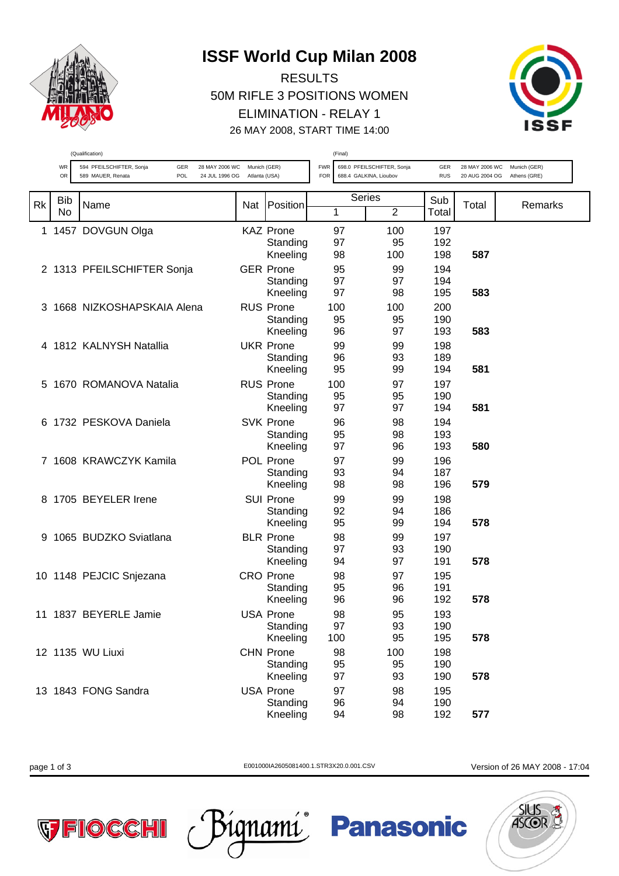

## **ISSF World Cup Milan 2008**

RESULTS 50M RIFLE 3 POSITIONS WOMEN ELIMINATION - RELAY 1 26 MAY 2008, START TIME 14:00



|           | (Qualification) |                                                                                                              |               |                                          | (Final)                  |               |                                                      |                   |                                  |                              |
|-----------|-----------------|--------------------------------------------------------------------------------------------------------------|---------------|------------------------------------------|--------------------------|---------------|------------------------------------------------------|-------------------|----------------------------------|------------------------------|
|           | WR<br>OR        | 594 PFEILSCHIFTER, Sonja<br>28 MAY 2006 WC Munich (GER)<br>GER<br>POL<br>589 MAUER, Renata<br>24 JUL 1996 OG | Atlanta (USA) |                                          | <b>FWR</b><br><b>FOR</b> |               | 698.0 PFEILSCHIFTER, Sonja<br>688.4 GALKINA, Lioubov | GER<br><b>RUS</b> | 28 MAY 2006 WC<br>20 AUG 2004 OG | Munich (GER)<br>Athens (GRE) |
| <b>Rk</b> | Bib<br>No       | Name                                                                                                         | Nat           | Position                                 | 1                        | <b>Series</b> | $\overline{2}$                                       | Sub<br>Total      | Total                            | Remarks                      |
|           |                 | 1 1457 DOVGUN Olga                                                                                           |               | <b>KAZ Prone</b><br>Standing<br>Kneeling | 97<br>97<br>98           |               | 100<br>95<br>100                                     | 197<br>192<br>198 | 587                              |                              |
|           |                 | 2 1313 PFEILSCHIFTER Sonja                                                                                   |               | <b>GER Prone</b><br>Standing<br>Kneeling | 95<br>97<br>97           |               | 99<br>97<br>98                                       | 194<br>194<br>195 | 583                              |                              |
| 3         |                 | 1668 NIZKOSHAPSKAIA Alena                                                                                    |               | <b>RUS Prone</b><br>Standing<br>Kneeling | 100<br>95<br>96          |               | 100<br>95<br>97                                      | 200<br>190<br>193 | 583                              |                              |
|           |                 | 4 1812 KALNYSH Natallia                                                                                      |               | <b>UKR Prone</b><br>Standing<br>Kneeling | 99<br>96<br>95           |               | 99<br>93<br>99                                       | 198<br>189<br>194 | 581                              |                              |
| 5.        |                 | 1670 ROMANOVA Natalia                                                                                        |               | <b>RUS Prone</b><br>Standing<br>Kneeling | 100<br>95<br>97          |               | 97<br>95<br>97                                       | 197<br>190<br>194 | 581                              |                              |
| 6         |                 | 1732 PESKOVA Daniela                                                                                         |               | <b>SVK Prone</b><br>Standing<br>Kneeling | 96<br>95<br>97           |               | 98<br>98<br>96                                       | 194<br>193<br>193 | 580                              |                              |
| 7         |                 | 1608 KRAWCZYK Kamila                                                                                         |               | POL Prone<br>Standing<br>Kneeling        | 97<br>93<br>98           |               | 99<br>94<br>98                                       | 196<br>187<br>196 | 579                              |                              |
| 8         |                 | 1705 BEYELER Irene                                                                                           |               | <b>SUI Prone</b><br>Standing<br>Kneeling | 99<br>92<br>95           |               | 99<br>94<br>99                                       | 198<br>186<br>194 | 578                              |                              |
| 9         |                 | 1065 BUDZKO Sviatlana                                                                                        |               | <b>BLR Prone</b><br>Standing<br>Kneeling | 98<br>97<br>94           |               | 99<br>93<br>97                                       | 197<br>190<br>191 | 578                              |                              |
|           |                 | 10 1148 PEJCIC Snjezana                                                                                      |               | <b>CRO Prone</b><br>Standing<br>Kneeling | 98<br>95<br>96           |               | 97<br>96<br>96                                       | 195<br>191<br>192 | 578                              |                              |
|           |                 | 11 1837 BEYERLE Jamie                                                                                        |               | USA Prone<br>Standing<br>Kneeling        | 98<br>97<br>100          |               | 95<br>93<br>95                                       | 193<br>190<br>195 | 578                              |                              |
|           |                 | 12 1135 WU Liuxi                                                                                             |               | <b>CHN Prone</b><br>Standing<br>Kneeling | 98<br>95<br>97           |               | 100<br>95<br>93                                      | 198<br>190<br>190 | 578                              |                              |
|           |                 | 13 1843 FONG Sandra                                                                                          |               | <b>USA Prone</b><br>Standing<br>Kneeling | 97<br>96<br>94           |               | 98<br>94<br>98                                       | 195<br>190<br>192 | 577                              |                              |

page 1 of 3 E001000IA2605081400.1.STR3X20.0.001.CSV Version of 26 MAY 2008 - 17:04



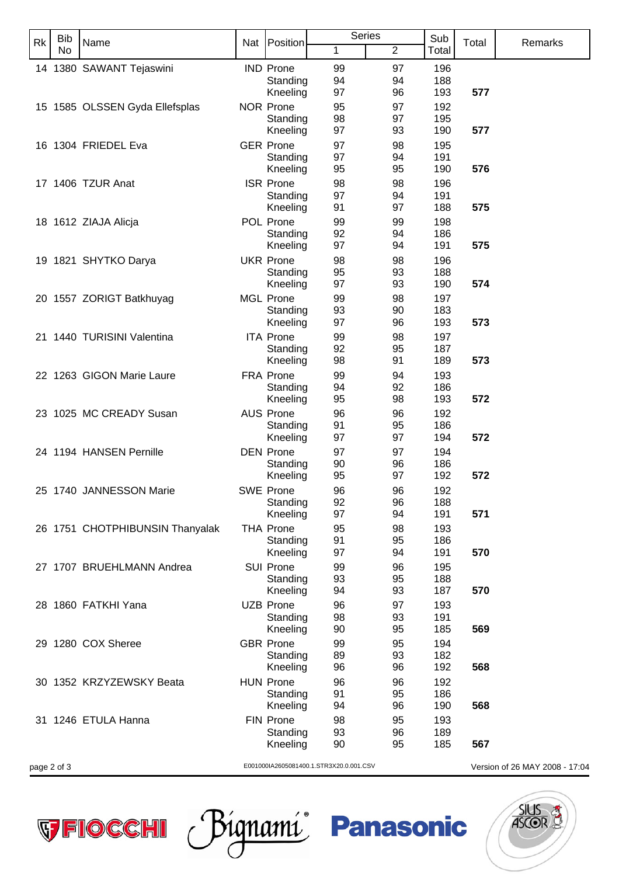| Rk          | <b>Bib</b> | Name                            | Nat                                     | Position                     | <b>Series</b> |                | Sub        | Total | Remarks                        |
|-------------|------------|---------------------------------|-----------------------------------------|------------------------------|---------------|----------------|------------|-------|--------------------------------|
|             | No         |                                 |                                         |                              | 1             | $\overline{2}$ | Total      |       |                                |
|             |            | 14 1380 SAWANT Tejaswini        |                                         | <b>IND Prone</b>             | 99            | 97             | 196        |       |                                |
|             |            |                                 |                                         | Standing                     | 94            | 94             | 188        |       |                                |
|             |            |                                 |                                         | Kneeling<br><b>NOR Prone</b> | 97            | 96             | 193        | 577   |                                |
|             |            | 15 1585 OLSSEN Gyda Ellefsplas  |                                         | Standing                     | 95<br>98      | 97<br>97       | 192<br>195 |       |                                |
|             |            |                                 |                                         | Kneeling                     | 97            | 93             | 190        | 577   |                                |
|             |            | 16 1304 FRIEDEL Eva             |                                         | <b>GER Prone</b>             | 97            | 98             | 195        |       |                                |
|             |            |                                 |                                         | Standing                     | 97            | 94             | 191        |       |                                |
|             |            |                                 |                                         | Kneeling                     | 95            | 95             | 190        | 576   |                                |
|             |            | 17 1406 TZUR Anat               |                                         | <b>ISR Prone</b><br>Standing | 98<br>97      | 98<br>94       | 196<br>191 |       |                                |
|             |            |                                 |                                         | Kneeling                     | 91            | 97             | 188        | 575   |                                |
|             |            | 18 1612 ZIAJA Alicja            |                                         | POL Prone                    | 99            | 99             | 198        |       |                                |
|             |            |                                 |                                         | Standing                     | 92            | 94             | 186        |       |                                |
|             |            |                                 |                                         | Kneeling                     | 97            | 94             | 191        | 575   |                                |
|             |            | 19 1821 SHYTKO Darya            |                                         | <b>UKR Prone</b>             | 98            | 98             | 196        |       |                                |
|             |            |                                 |                                         | Standing<br>Kneeling         | 95<br>97      | 93<br>93       | 188<br>190 | 574   |                                |
|             |            | 20 1557 ZORIGT Batkhuyag        |                                         | <b>MGL Prone</b>             | 99            | 98             | 197        |       |                                |
|             |            |                                 |                                         | Standing                     | 93            | 90             | 183        |       |                                |
|             |            |                                 |                                         | Kneeling                     | 97            | 96             | 193        | 573   |                                |
|             |            | 21 1440 TURISINI Valentina      |                                         | <b>ITA Prone</b>             | 99            | 98             | 197        |       |                                |
|             |            |                                 |                                         | Standing<br>Kneeling         | 92<br>98      | 95<br>91       | 187<br>189 | 573   |                                |
|             |            | 22 1263 GIGON Marie Laure       |                                         | FRA Prone                    | 99            | 94             | 193        |       |                                |
|             |            |                                 |                                         | Standing                     | 94            | 92             | 186        |       |                                |
|             |            |                                 |                                         | Kneeling                     | 95            | 98             | 193        | 572   |                                |
|             |            | 23 1025 MC CREADY Susan         |                                         | <b>AUS Prone</b>             | 96            | 96             | 192        |       |                                |
|             |            |                                 |                                         | Standing                     | 91<br>97      | 95             | 186        | 572   |                                |
|             |            | 24 1194 HANSEN Pernille         |                                         | Kneeling<br><b>DEN Prone</b> | 97            | 97<br>97       | 194<br>194 |       |                                |
|             |            |                                 |                                         | Standing                     | 90            | 96             | 186        |       |                                |
|             |            |                                 |                                         | Kneeling                     | 95            | 97             | 192        | 572   |                                |
|             |            | 25 1740 JANNESSON Marie         |                                         | <b>SWE Prone</b>             | 96            | 96             | 192        |       |                                |
|             |            |                                 |                                         | Standing                     | 92            | 96             | 188        |       |                                |
|             |            |                                 |                                         | Kneeling<br><b>THA Prone</b> | 97<br>95      | 94<br>98       | 191<br>193 | 571   |                                |
|             |            | 26 1751 CHOTPHIBUNSIN Thanyalak |                                         | Standing                     | 91            | 95             | 186        |       |                                |
|             |            |                                 |                                         | Kneeling                     | 97            | 94             | 191        | 570   |                                |
|             |            | 27 1707 BRUEHLMANN Andrea       |                                         | <b>SUI Prone</b>             | 99            | 96             | 195        |       |                                |
|             |            |                                 |                                         | Standing                     | 93            | 95             | 188        |       |                                |
|             |            |                                 |                                         | Kneeling                     | 94            | 93             | 187        | 570   |                                |
|             |            | 28 1860 FATKHI Yana             |                                         | <b>UZB Prone</b><br>Standing | 96<br>98      | 97<br>93       | 193<br>191 |       |                                |
|             |            |                                 |                                         | Kneeling                     | 90            | 95             | 185        | 569   |                                |
|             |            | 29 1280 COX Sheree              |                                         | <b>GBR</b> Prone             | 99            | 95             | 194        |       |                                |
|             |            |                                 |                                         | Standing                     | 89            | 93             | 182        |       |                                |
|             |            |                                 |                                         | Kneeling                     | 96            | 96             | 192        | 568   |                                |
|             |            | 30 1352 KRZYZEWSKY Beata        |                                         | <b>HUN Prone</b><br>Standing | 96<br>91      | 96<br>95       | 192<br>186 |       |                                |
|             |            |                                 |                                         | Kneeling                     | 94            | 96             | 190        | 568   |                                |
|             |            | 31 1246 ETULA Hanna             |                                         | FIN Prone                    | 98            | 95             | 193        |       |                                |
|             |            |                                 |                                         | Standing                     | 93            | 96             | 189        |       |                                |
|             |            |                                 |                                         | Kneeling                     | 90            | 95             | 185        | 567   |                                |
| page 2 of 3 |            |                                 | E001000IA2605081400.1.STR3X20.0.001.CSV |                              |               |                |            |       | Version of 26 MAY 2008 - 17:04 |

VFIOCCHI Págnamí Panasonic